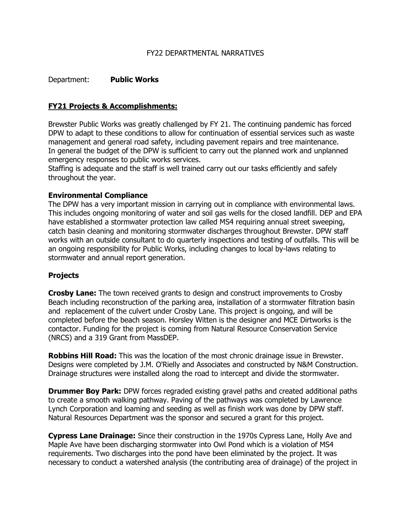#### FY22 DEPARTMENTAL NARRATIVES

### Department: **Public Works**

### **FY21 Projects & Accomplishments:**

Brewster Public Works was greatly challenged by FY 21. The continuing pandemic has forced DPW to adapt to these conditions to allow for continuation of essential services such as waste management and general road safety, including pavement repairs and tree maintenance. In general the budget of the DPW is sufficient to carry out the planned work and unplanned emergency responses to public works services.

Staffing is adequate and the staff is well trained carry out our tasks efficiently and safely throughout the year.

#### **Environmental Compliance**

The DPW has a very important mission in carrying out in compliance with environmental laws. This includes ongoing monitoring of water and soil gas wells for the closed landfill. DEP and EPA have established a stormwater protection law called MS4 requiring annual street sweeping, catch basin cleaning and monitoring stormwater discharges throughout Brewster. DPW staff works with an outside consultant to do quarterly inspections and testing of outfalls. This will be an ongoing responsibility for Public Works, including changes to local by-laws relating to stormwater and annual report generation.

#### **Projects**

**Crosby Lane:** The town received grants to design and construct improvements to Crosby Beach including reconstruction of the parking area, installation of a stormwater filtration basin and replacement of the culvert under Crosby Lane. This project is ongoing, and will be completed before the beach season. Horsley Witten is the designer and MCE Dirtworks is the contactor. Funding for the project is coming from Natural Resource Conservation Service (NRCS) and a 319 Grant from MassDEP.

**Robbins Hill Road:** This was the location of the most chronic drainage issue in Brewster. Designs were completed by J.M. O'Rielly and Associates and constructed by N&M Construction. Drainage structures were installed along the road to intercept and divide the stormwater.

**Drummer Boy Park:** DPW forces regraded existing gravel paths and created additional paths to create a smooth walking pathway. Paving of the pathways was completed by Lawrence Lynch Corporation and loaming and seeding as well as finish work was done by DPW staff. Natural Resources Department was the sponsor and secured a grant for this project.

**Cypress Lane Drainage:** Since their construction in the 1970s Cypress Lane, Holly Ave and Maple Ave have been discharging stormwater into Owl Pond which is a violation of MS4 requirements. Two discharges into the pond have been eliminated by the project. It was necessary to conduct a watershed analysis (the contributing area of drainage) of the project in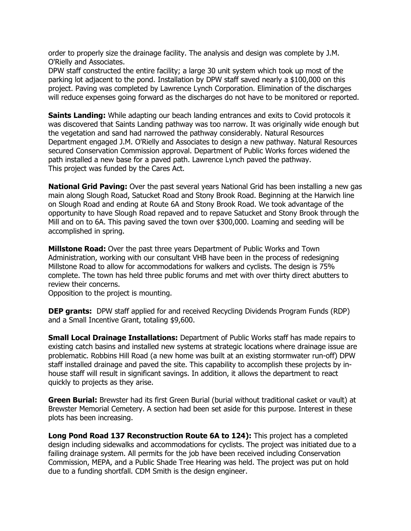order to properly size the drainage facility. The analysis and design was complete by J.M. O'Rielly and Associates.

DPW staff constructed the entire facility; a large 30 unit system which took up most of the parking lot adjacent to the pond. Installation by DPW staff saved nearly a \$100,000 on this project. Paving was completed by Lawrence Lynch Corporation. Elimination of the discharges will reduce expenses going forward as the discharges do not have to be monitored or reported.

**Saints Landing:** While adapting our beach landing entrances and exits to Covid protocols it was discovered that Saints Landing pathway was too narrow. It was originally wide enough but the vegetation and sand had narrowed the pathway considerably. Natural Resources Department engaged J.M. O'Rielly and Associates to design a new pathway. Natural Resources secured Conservation Commission approval. Department of Public Works forces widened the path installed a new base for a paved path. Lawrence Lynch paved the pathway. This project was funded by the Cares Act.

**National Grid Paving:** Over the past several years National Grid has been installing a new gas main along Slough Road, Satucket Road and Stony Brook Road. Beginning at the Harwich line on Slough Road and ending at Route 6A and Stony Brook Road. We took advantage of the opportunity to have Slough Road repaved and to repave Satucket and Stony Brook through the Mill and on to 6A. This paving saved the town over \$300,000. Loaming and seeding will be accomplished in spring.

**Millstone Road:** Over the past three years Department of Public Works and Town Administration, working with our consultant VHB have been in the process of redesigning Millstone Road to allow for accommodations for walkers and cyclists. The design is 75% complete. The town has held three public forums and met with over thirty direct abutters to review their concerns.

Opposition to the project is mounting.

**DEP grants:** DPW staff applied for and received Recycling Dividends Program Funds (RDP) and a Small Incentive Grant, totaling \$9,600.

**Small Local Drainage Installations:** Department of Public Works staff has made repairs to existing catch basins and installed new systems at strategic locations where drainage issue are problematic. Robbins Hill Road (a new home was built at an existing stormwater run-off) DPW staff installed drainage and paved the site. This capability to accomplish these projects by inhouse staff will result in significant savings. In addition, it allows the department to react quickly to projects as they arise.

**Green Burial:** Brewster had its first Green Burial (burial without traditional casket or vault) at Brewster Memorial Cemetery. A section had been set aside for this purpose. Interest in these plots has been increasing.

**Long Pond Road 137 Reconstruction Route 6A to 124):** This project has a completed design including sidewalks and accommodations for cyclists. The project was initiated due to a failing drainage system. All permits for the job have been received including Conservation Commission, MEPA, and a Public Shade Tree Hearing was held. The project was put on hold due to a funding shortfall. CDM Smith is the design engineer.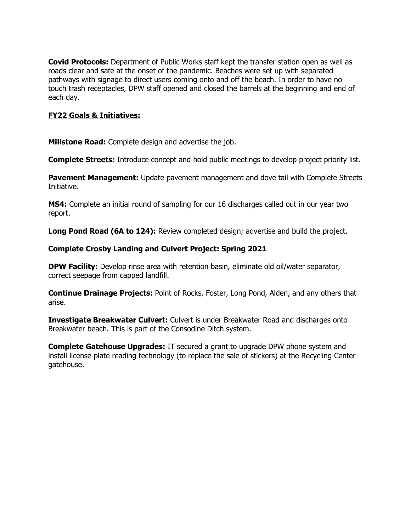**Covid Protocols:** Department of Public Works staff kept the transfer station open as well as roads clear and safe at the onset of the pandemic. Beaches were set up with separated pathways with signage to direct users coming onto and off the beach. In order to have no touch trash receptacles, DPW staff opened and closed the barrels at the beginning and end of each day.

### **FY22 Goals & Initiatives:**

**Millstone Road:** Complete design and advertise the job.

**Complete Streets:** Introduce concept and hold public meetings to develop project priority list.

**Pavement Management:** Update pavement management and dove tail with Complete Streets Initiative.

**MS4:** Complete an initial round of sampling for our 16 discharges called out in our year two report.

**Long Pond Road (6A to 124):** Review completed design; advertise and build the project.

### **Complete Crosby Landing and Culvert Project: Spring 2021**

**DPW Facility:** Develop rinse area with retention basin, eliminate old oil/water separator, correct seepage from capped landfill.

**Continue Drainage Projects:** Point of Rocks, Foster, Long Pond, Alden, and any others that arise.

**Investigate Breakwater Culvert:** Culvert is under Breakwater Road and discharges onto Breakwater beach. This is part of the Consodine Ditch system.

**Complete Gatehouse Upgrades:** IT secured a grant to upgrade DPW phone system and install license plate reading technology (to replace the sale of stickers) at the Recycling Center gatehouse.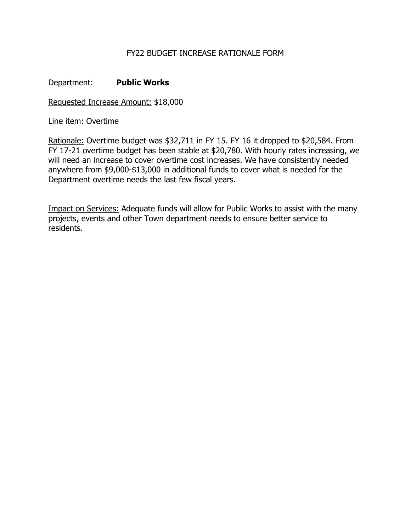## Department: **Public Works**

Requested Increase Amount: \$18,000

Line item: Overtime

Rationale: Overtime budget was \$32,711 in FY 15. FY 16 it dropped to \$20,584. From FY 17-21 overtime budget has been stable at \$20,780. With hourly rates increasing, we will need an increase to cover overtime cost increases. We have consistently needed anywhere from \$9,000-\$13,000 in additional funds to cover what is needed for the Department overtime needs the last few fiscal years.

Impact on Services: Adequate funds will allow for Public Works to assist with the many projects, events and other Town department needs to ensure better service to residents.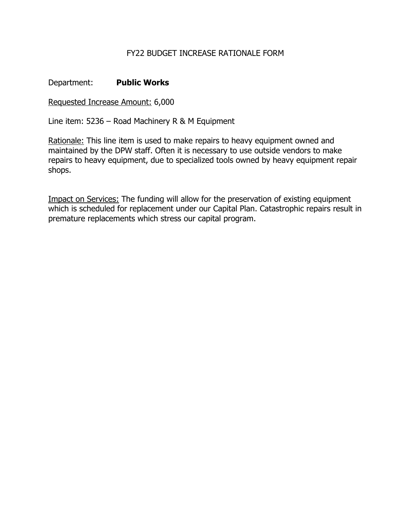## Department: **Public Works**

Requested Increase Amount: 6,000

Line item: 5236 – Road Machinery R & M Equipment

Rationale: This line item is used to make repairs to heavy equipment owned and maintained by the DPW staff. Often it is necessary to use outside vendors to make repairs to heavy equipment, due to specialized tools owned by heavy equipment repair shops.

Impact on Services: The funding will allow for the preservation of existing equipment which is scheduled for replacement under our Capital Plan. Catastrophic repairs result in premature replacements which stress our capital program.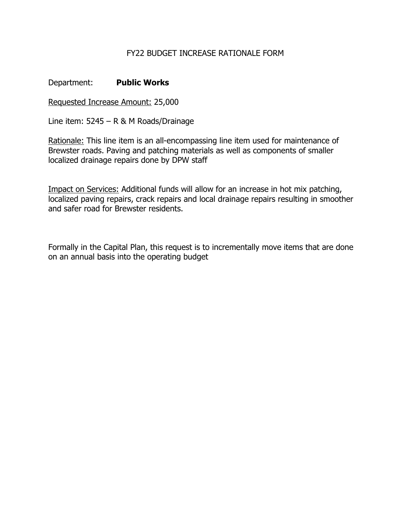Department: **Public Works** 

Requested Increase Amount: 25,000

Line item: 5245 – R & M Roads/Drainage

Rationale: This line item is an all-encompassing line item used for maintenance of Brewster roads. Paving and patching materials as well as components of smaller localized drainage repairs done by DPW staff

Impact on Services: Additional funds will allow for an increase in hot mix patching, localized paving repairs, crack repairs and local drainage repairs resulting in smoother and safer road for Brewster residents.

Formally in the Capital Plan, this request is to incrementally move items that are done on an annual basis into the operating budget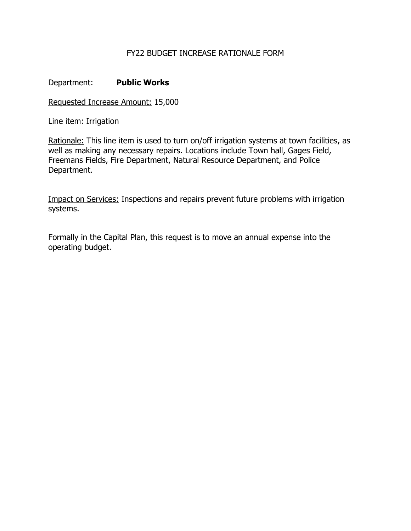## Department: **Public Works**

Requested Increase Amount: 15,000

Line item: Irrigation

Rationale: This line item is used to turn on/off irrigation systems at town facilities, as well as making any necessary repairs. Locations include Town hall, Gages Field, Freemans Fields, Fire Department, Natural Resource Department, and Police Department.

Impact on Services: Inspections and repairs prevent future problems with irrigation systems.

Formally in the Capital Plan, this request is to move an annual expense into the operating budget.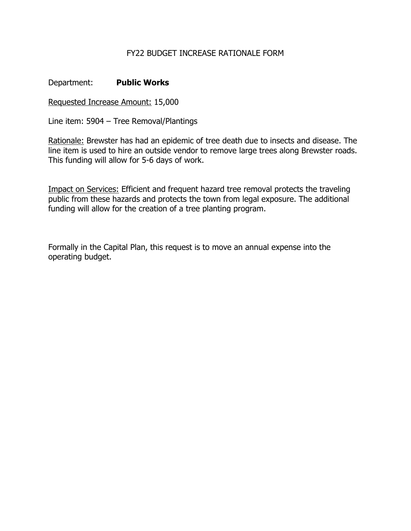Department: **Public Works** 

Requested Increase Amount: 15,000

Line item: 5904 – Tree Removal/Plantings

Rationale: Brewster has had an epidemic of tree death due to insects and disease. The line item is used to hire an outside vendor to remove large trees along Brewster roads. This funding will allow for 5-6 days of work.

Impact on Services: Efficient and frequent hazard tree removal protects the traveling public from these hazards and protects the town from legal exposure. The additional funding will allow for the creation of a tree planting program.

Formally in the Capital Plan, this request is to move an annual expense into the operating budget.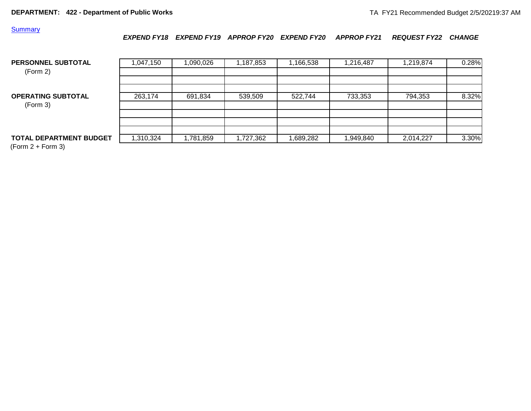#### **Summary**

*EXPEND FY18 EXPEND FY19 APPROP FY20 EXPEND FY20 APPROP FY21 REQUEST FY22 CHANGE*

| PERSONNEL SUBTOTAL<br>(Form 2)        | ,047,150 | 1,090,026 | ,187,853 | 1,166,538 | 1,216,487 | 1,219,874 | 0.28% |
|---------------------------------------|----------|-----------|----------|-----------|-----------|-----------|-------|
| <b>OPERATING SUBTOTAL</b><br>(Form 3) | 263,174  | 691,834   | 539,509  | 522,744   | 733,353   | 794,353   | 8.32% |
|                                       |          |           |          |           |           |           |       |
| <b>TOTAL DEPARTMENT BUDGET</b>        | ,310,324 | 1,781,859 | ,727,362 | 689,282   | 1,949,840 | 2,014,227 | 3.30% |

 $(Form 2 + Form 3)$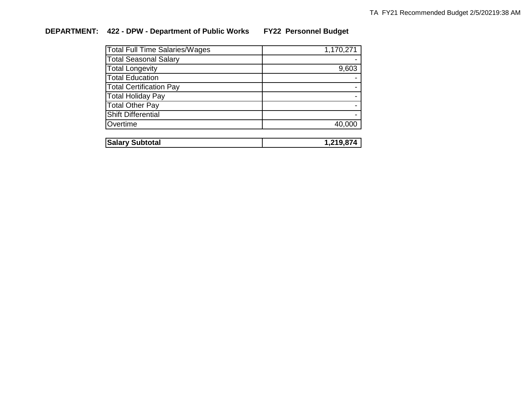# **DEPARTMENT: 422 - DPW - Department of Public Works FY22 Personnel Budget**

| <b>Total Full Time Salaries/Wages</b> | 1,170,271 |
|---------------------------------------|-----------|
| <b>Total Seasonal Salary</b>          |           |
| <b>Total Longevity</b>                | 9,603     |
| <b>Total Education</b>                |           |
| <b>Total Certification Pay</b>        |           |
| <b>Total Holiday Pay</b>              |           |
| <b>Total Other Pay</b>                |           |
| <b>Shift Differential</b>             |           |
| Overtime                              | 40,000    |
|                                       |           |

| Subtotal<br> Salary<br>- 30. |  |
|------------------------------|--|
|                              |  |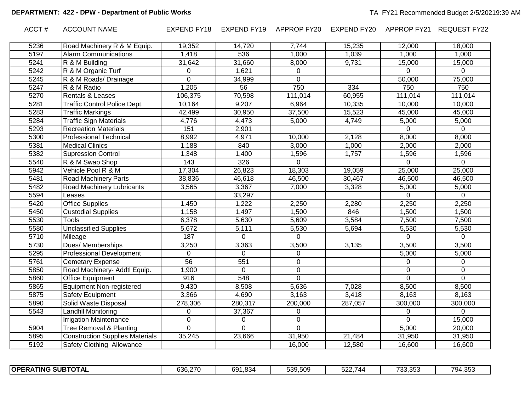ACCT # ACCOUNT NAME EXPEND FY18 EXPEND FY19 APPROP FY20 EXPEND FY20 APPROP FY21 REQUEST FY22

| 5236 | Road Machinery R & M Equip.            | 19,352         | 14,720          | 7,744       | 15,235  | 12,000       | 18,000      |
|------|----------------------------------------|----------------|-----------------|-------------|---------|--------------|-------------|
| 5197 | <b>Alarm Communications</b>            | 1,418          | 536             | 1,000       | 1,039   | 1,000        | 1,000       |
| 5241 | R & M Building                         | 31,642         | 31,660          | 8,000       | 9,731   | 15,000       | 15,000      |
| 5242 | R & M Organic Turf                     | $\Omega$       | 1,621           | $\Omega$    |         | 0            | 0           |
| 5245 | R & M Roads/ Drainage                  | $\Omega$       | 34,999          | $\Omega$    |         | 50,000       | 75,000      |
| 5247 | R & M Radio                            | 1,205          | $\overline{56}$ | 750         | 334     | 750          | 750         |
| 5270 | Rentals & Leases                       | 106,375        | 70,598          | 111,014     | 60,955  | 111,014      | 111,014     |
| 5281 | Traffic Control Police Dept.           | 10,164         | 9,207           | 6,964       | 10,335  | 10,000       | 10,000      |
| 5283 | <b>Traffic Markings</b>                | 42,499         | 30,950          | 37,500      | 15,523  | 45,000       | 45,000      |
| 5284 | <b>Traffic Sign Materials</b>          | 4,776          | 4,473           | 5,000       | 4,749   | 5,000        | 5,000       |
| 5293 | <b>Recreation Materials</b>            | 151            | 2,901           |             |         | $\Omega$     | $\mathbf 0$ |
| 5300 | <b>Professional Technical</b>          | 8,992          | 4,971           | 10,000      | 2,128   | 8,000        | 8,000       |
| 5381 | <b>Medical Clinics</b>                 | 1,188          | 840             | 3,000       | 1,000   | 2,000        | 2,000       |
| 5382 | <b>Supression Control</b>              | 1,348          | 1,400           | 1,596       | 1,757   | 1,596        | 1,596       |
| 5540 | R & M Swap Shop                        | 143            | 326             | $\Omega$    |         | $\mathbf{0}$ | $\mathbf 0$ |
| 5942 | Vehicle Pool R & M                     | 17,304         | 26,823          | 18,303      | 19,059  | 25,000       | 25,000      |
| 5481 | Road Machinery Parts                   | 38,836         | 46,618          | 46,500      | 30,467  | 46,500       | 46,500      |
| 5482 | Road Machinery Lubricants              | 3,565          | 3,367           | 7,000       | 3,328   | 5,000        | 5,000       |
| 5594 | Leases                                 |                | 33,297          |             |         | $\mathbf{0}$ | $\Omega$    |
| 5420 | <b>Office Supplies</b>                 | 1,450          | 1,222           | 2,250       | 2,280   | 2,250        | 2,250       |
| 5450 | <b>Custodial Supplies</b>              | 1,158          | 1,497           | 1,500       | 846     | 1,500        | 1,500       |
| 5530 | <b>Tools</b>                           | 6,378          | 5,630           | 5,609       | 3,584   | 7,500        | 7,500       |
| 5580 | Unclassified Supplies                  | 5,672          | 5,111           | 5,530       | 5,694   | 5,530        | 5,530       |
| 5710 | Mileage                                | 187            | 0               | $\Omega$    |         | $\Omega$     | $\Omega$    |
| 5730 | Dues/ Memberships                      | 3,250          | 3,363           | 3,500       | 3,135   | 3,500        | 3,500       |
| 5295 | <b>Professional Development</b>        | $\mathbf{0}$   | $\Omega$        | $\mathbf 0$ |         | 5,000        | 5,000       |
| 5761 | <b>Cemetary Expense</b>                | 56             | 551             | $\mathbf 0$ |         | 0            | 0           |
| 5850 | Road Machinery- Addtl Equip.           | 1,900          | $\Omega$        | 0           |         | 0            | $\mathbf 0$ |
| 5860 | Office Equipment                       | 916            | 548             | $\mathbf 0$ |         | $\mathbf 0$  | $\mathbf 0$ |
| 5865 | <b>Equipment Non-registered</b>        | 9,430          | 8,508           | 5,636       | 7,028   | 8,500        | 8,500       |
| 5875 | <b>Safety Equipment</b>                | 3,366          | 4,690           | 3,163       | 3,418   | 8,163        | 8,163       |
| 5890 | Solid Waste Disposal                   | 278,306        | 280,317         | 200,000     | 287,057 | 300,000      | 300,000     |
| 5543 | Landfill Monitoring                    | $\Omega$       | 37,367          | $\Omega$    |         | $\Omega$     | 0           |
|      | <b>Irrigation Maintenance</b>          | $\mathbf 0$    | 0               | $\mathbf 0$ |         | $\mathbf 0$  | 15,000      |
| 5904 | Tree Removal & Planting                | $\overline{0}$ | 0               | $\Omega$    |         | 5,000        | 20,000      |
| 5895 | <b>Construction Supplies Materials</b> | 35,245         | 23,666          | 31,950      | 21,484  | 31,950       | 31,950      |
| 5192 | Safety Clothing Allowance              |                |                 | 16,000      | 12,580  | 16,600       | 16,600      |

|  | <b>SUBTOTAL</b><br><b>OPE</b><br>ATING<br>RΑ | 636.270 | .834<br>691 | 539,509 | $ \cdot$<br>-^^<br>, ,,<br>34 | $\overline{\phantom{a}}$<br>0.25<br>.<br>, vv.vv | 794,35.<br>. . |
|--|----------------------------------------------|---------|-------------|---------|-------------------------------|--------------------------------------------------|----------------|
|--|----------------------------------------------|---------|-------------|---------|-------------------------------|--------------------------------------------------|----------------|